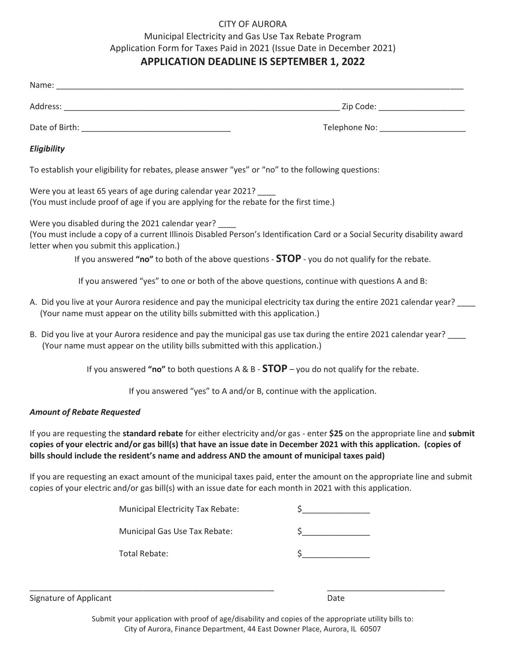#### CITY OF AURORA

### Municipal Electricity and Gas Use Tax Rebate Program Application Form for Taxes Paid in 2021 (Issue Date in December 2021) **APPLICATION DEADLINE IS SEPTEMBER 1, 2022**

|                                                                                                                                                        | Telephone No: _____________________                                                                                                                                                                                               |
|--------------------------------------------------------------------------------------------------------------------------------------------------------|-----------------------------------------------------------------------------------------------------------------------------------------------------------------------------------------------------------------------------------|
| Eligibility                                                                                                                                            |                                                                                                                                                                                                                                   |
| To establish your eligibility for rebates, please answer "yes" or "no" to the following questions:                                                     |                                                                                                                                                                                                                                   |
| Were you at least 65 years of age during calendar year 2021?<br>(You must include proof of age if you are applying for the rebate for the first time.) |                                                                                                                                                                                                                                   |
| Were you disabled during the 2021 calendar year?<br>letter when you submit this application.)                                                          | (You must include a copy of a current Illinois Disabled Person's Identification Card or a Social Security disability award<br>If you answered "no" to both of the above questions $-$ STOP $-$ you do not qualify for the rebate. |
|                                                                                                                                                        | If you answered "yes" to one or both of the above questions, continue with questions A and B:                                                                                                                                     |
| (Your name must appear on the utility bills submitted with this application.)                                                                          | A. Did you live at your Aurora residence and pay the municipal electricity tax during the entire 2021 calendar year?                                                                                                              |

B. Did you live at your Aurora residence and pay the municipal gas use tax during the entire 2021 calendar year? (Your name must appear on the utility bills submitted with this application.)

If you answered **"no"** to both questions A & B - **STOP** – you do not qualify for the rebate.

If you answered "yes" to A and/or B, continue with the application.

#### *Amount of Rebate Requested*

If you are requesting the **standard rebate** for either electricity and/or gas - enter **\$25** on the appropriate line and **submit copies of your electric and/or gas bill(s) that have an issue date in December 2021 with this application. (copies of bills should include the resident's name and address AND the amount of municipal taxes paid)**

If you are requesting an exact amount of the municipal taxes paid, enter the amount on the appropriate line and submit copies of your electric and/or gas bill(s) with an issue date for each month in 2021 with this application.

| Municipal Electricity Tax Rebate: |  |
|-----------------------------------|--|
| Municipal Gas Use Tax Rebate:     |  |
| Total Rebate:                     |  |

\_\_\_\_\_\_\_\_\_\_\_\_\_\_\_\_\_\_\_\_\_\_\_\_\_\_\_\_\_\_\_\_\_\_\_\_\_\_\_\_\_\_\_\_\_\_\_\_\_\_\_\_\_\_ \_\_\_\_\_\_\_\_\_\_\_\_\_\_\_\_\_\_\_\_\_\_\_\_\_\_

Signature of Applicant Date of Applicant Date of Applicant Date of Applicant Date of Applicant Date of Applicant Date of Applicant Date of Applicant Date of Applicant Date of Applicant Date of Applicant Date of Applicant D

Submit your application with proof of age/disability and copies of the appropriate utility bills to: City of Aurora, Finance Department, 44 East Downer Place, Aurora, IL 60507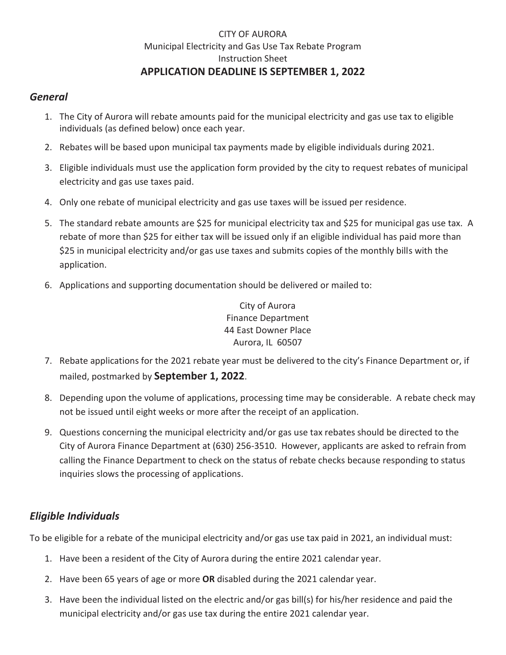### CITY OF AURORA Municipal Electricity and Gas Use Tax Rebate Program Instruction Sheet **APPLICATION DEADLINE IS SEPTEMBER 1, 2022**

### *General*

- 1. The City of Aurora will rebate amounts paid for the municipal electricity and gas use tax to eligible individuals (as defined below) once each year.
- 2. Rebates will be based upon municipal tax payments made by eligible individuals during 2021.
- 3. Eligible individuals must use the application form provided by the city to request rebates of municipal electricity and gas use taxes paid.
- 4. Only one rebate of municipal electricity and gas use taxes will be issued per residence.
- 5. The standard rebate amounts are \$25 for municipal electricity tax and \$25 for municipal gas use tax. A rebate of more than \$25 for either tax will be issued only if an eligible individual has paid more than \$25 in municipal electricity and/or gas use taxes and submits copies of the monthly bills with the application.
- 6. Applications and supporting documentation should be delivered or mailed to:

City of Aurora Finance Department 44 East Downer Place Aurora, IL 60507

- 7. Rebate applications for the 2021 rebate year must be delivered to the city's Finance Department or, if mailed, postmarked by **September 1, 2022**.
- 8. Depending upon the volume of applications, processing time may be considerable. A rebate check may not be issued until eight weeks or more after the receipt of an application.
- 9. Questions concerning the municipal electricity and/or gas use tax rebates should be directed to the City of Aurora Finance Department at (630) 256-3510. However, applicants are asked to refrain from calling the Finance Department to check on the status of rebate checks because responding to status inquiries slows the processing of applications.

## *Eligible Individuals*

To be eligible for a rebate of the municipal electricity and/or gas use tax paid in 2021, an individual must:

- 1. Have been a resident of the City of Aurora during the entire 2021 calendar year.
- 2. Have been 65 years of age or more **OR** disabled during the 2021 calendar year.
- 3. Have been the individual listed on the electric and/or gas bill(s) for his/her residence and paid the municipal electricity and/or gas use tax during the entire 2021 calendar year.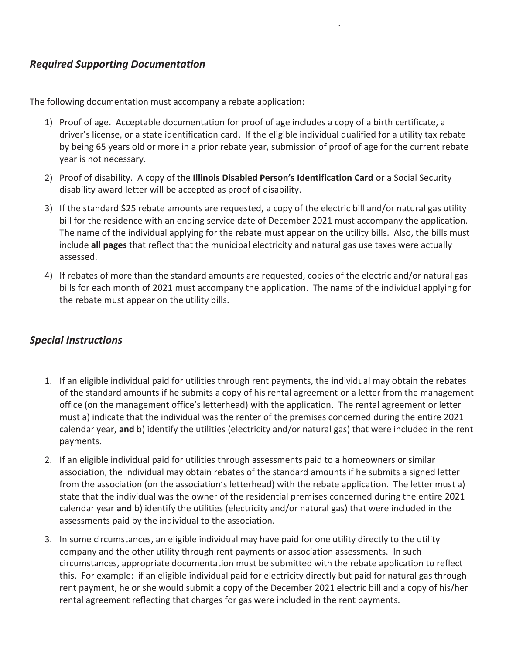### *Required Supporting Documentation*

The following documentation must accompany a rebate application:

.

- 1) Proof of age. Acceptable documentation for proof of age includes a copy of a birth certificate, a driver's license, or a state identification card. If the eligible individual qualified for a utility tax rebate by being 65 years old or more in a prior rebate year, submission of proof of age for the current rebate year is not necessary.
- 2) Proof of disability. A copy of the **Illinois Disabled Person's Identification Card** or a Social Security disability award letter will be accepted as proof of disability.
- 3) If the standard \$25 rebate amounts are requested, a copy of the electric bill and/or natural gas utility bill for the residence with an ending service date of December 2021 must accompany the application. The name of the individual applying for the rebate must appear on the utility bills. Also, the bills must include **all pages** that reflect that the municipal electricity and natural gas use taxes were actually assessed.
- 4) If rebates of more than the standard amounts are requested, copies of the electric and/or natural gas bills for each month of 2021 must accompany the application. The name of the individual applying for the rebate must appear on the utility bills.

### *Special Instructions*

- 1. If an eligible individual paid for utilities through rent payments, the individual may obtain the rebates of the standard amounts if he submits a copy of his rental agreement or a letter from the management office (on the management office's letterhead) with the application. The rental agreement or letter must a) indicate that the individual was the renter of the premises concerned during the entire 2021 calendar year, **and** b) identify the utilities (electricity and/or natural gas) that were included in the rent payments.
- 2. If an eligible individual paid for utilities through assessments paid to a homeowners or similar association, the individual may obtain rebates of the standard amounts if he submits a signed letter from the association (on the association's letterhead) with the rebate application. The letter must a) state that the individual was the owner of the residential premises concerned during the entire 2021 calendar year **and** b) identify the utilities (electricity and/or natural gas) that were included in the assessments paid by the individual to the association.
- 3. In some circumstances, an eligible individual may have paid for one utility directly to the utility company and the other utility through rent payments or association assessments. In such circumstances, appropriate documentation must be submitted with the rebate application to reflect this. For example: if an eligible individual paid for electricity directly but paid for natural gas through rent payment, he or she would submit a copy of the December 2021 electric bill and a copy of his/her rental agreement reflecting that charges for gas were included in the rent payments.